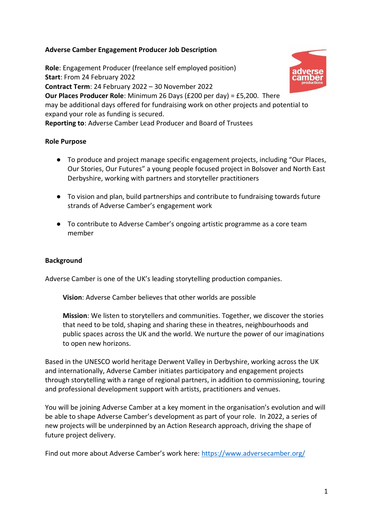# **Adverse Camber Engagement Producer Job Description**

**Role**: Engagement Producer (freelance self employed position) **Start**: From 24 February 2022 **Contract Term**: 24 February 2022 – 30 November 2022 **Our Places Producer Role**: Minimum 26 Days (£200 per day) = £5,200. There may be additional days offered for fundraising work on other projects and potential to expand your role as funding is secured. **Reporting to**: Adverse Camber Lead Producer and Board of Trustees

## **Role Purpose**

- To produce and project manage specific engagement projects, including "Our Places, Our Stories, Our Futures" a young people focused project in Bolsover and North East Derbyshire, working with partners and storyteller practitioners
- To vision and plan, build partnerships and contribute to fundraising towards future strands of Adverse Camber's engagement work
- To contribute to Adverse Camber's ongoing artistic programme as a core team member

## **Background**

Adverse Camber is one of the UK's leading storytelling production companies.

**Vision**: Adverse Camber believes that other worlds are possible

**Mission**: We listen to storytellers and communities. Together, we discover the stories that need to be told, shaping and sharing these in theatres, neighbourhoods and public spaces across the UK and the world. We nurture the power of our imaginations to open new horizons.

Based in the UNESCO world heritage Derwent Valley in Derbyshire, working across the UK and internationally, Adverse Camber initiates participatory and engagement projects through storytelling with a range of regional partners, in addition to commissioning, touring and professional development support with artists, practitioners and venues.

You will be joining Adverse Camber at a key moment in the organisation's evolution and will be able to shape Adverse Camber's development as part of your role. In 2022, a series of new projects will be underpinned by an Action Research approach, driving the shape of future project delivery.

Find out more about Adverse Camber's work here: <https://www.adversecamber.org/>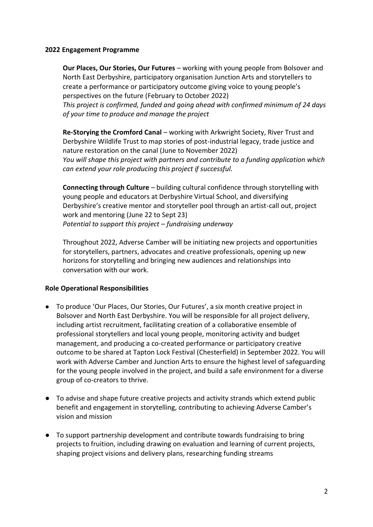#### **2022 Engagement Programme**

**Our Places, Our Stories, Our Futures** – working with young people from Bolsover and North East Derbyshire, participatory organisation Junction Arts and storytellers to create a performance or participatory outcome giving voice to young people's perspectives on the future (February to October 2022)

*This project is confirmed, funded and going ahead with confirmed minimum of 24 days of your time to produce and manage the project* 

**Re-Storying the Cromford Canal** – working with Arkwright Society, River Trust and Derbyshire Wildlife Trust to map stories of post-industrial legacy, trade justice and nature restoration on the canal (June to November 2022) *You will shape this project with partners and contribute to a funding application which can extend your role producing this project if successful.*

**Connecting through Culture** – building cultural confidence through storytelling with young people and educators at Derbyshire Virtual School, and diversifying Derbyshire's creative mentor and storyteller pool through an artist-call out, project work and mentoring (June 22 to Sept 23) *Potential to support this project – fundraising underway*

Throughout 2022, Adverse Camber will be initiating new projects and opportunities for storytellers, partners, advocates and creative professionals, opening up new horizons for storytelling and bringing new audiences and relationships into conversation with our work.

# **Role Operational Responsibilities**

- To produce 'Our Places, Our Stories, Our Futures', a six month creative project in Bolsover and North East Derbyshire. You will be responsible for all project delivery, including artist recruitment, facilitating creation of a collaborative ensemble of professional storytellers and local young people, monitoring activity and budget management, and producing a co-created performance or participatory creative outcome to be shared at Tapton Lock Festival (Chesterfield) in September 2022. You will work with Adverse Camber and Junction Arts to ensure the highest level of safeguarding for the young people involved in the project, and build a safe environment for a diverse group of co-creators to thrive.
- To advise and shape future creative projects and activity strands which extend public benefit and engagement in storytelling, contributing to achieving Adverse Camber's vision and mission
- To support partnership development and contribute towards fundraising to bring projects to fruition, including drawing on evaluation and learning of current projects, shaping project visions and delivery plans, researching funding streams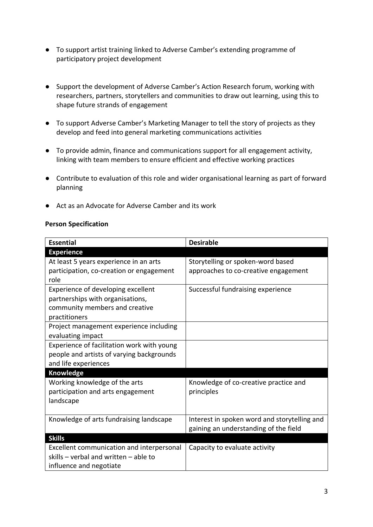- To support artist training linked to Adverse Camber's extending programme of participatory project development
- Support the development of Adverse Camber's Action Research forum, working with researchers, partners, storytellers and communities to draw out learning, using this to shape future strands of engagement
- To support Adverse Camber's Marketing Manager to tell the story of projects as they develop and feed into general marketing communications activities
- To provide admin, finance and communications support for all engagement activity, linking with team members to ensure efficient and effective working practices
- Contribute to evaluation of this role and wider organisational learning as part of forward planning
- Act as an Advocate for Adverse Camber and its work

## **Person Specification**

| <b>Essential</b>                           | <b>Desirable</b>                             |
|--------------------------------------------|----------------------------------------------|
| <b>Experience</b>                          |                                              |
| At least 5 years experience in an arts     | Storytelling or spoken-word based            |
| participation, co-creation or engagement   | approaches to co-creative engagement         |
| role                                       |                                              |
| Experience of developing excellent         | Successful fundraising experience            |
| partnerships with organisations,           |                                              |
| community members and creative             |                                              |
| practitioners                              |                                              |
| Project management experience including    |                                              |
| evaluating impact                          |                                              |
| Experience of facilitation work with young |                                              |
| people and artists of varying backgrounds  |                                              |
| and life experiences                       |                                              |
| Knowledge                                  |                                              |
| Working knowledge of the arts              | Knowledge of co-creative practice and        |
| participation and arts engagement          | principles                                   |
| landscape                                  |                                              |
|                                            |                                              |
| Knowledge of arts fundraising landscape    | Interest in spoken word and storytelling and |
|                                            | gaining an understanding of the field        |
| <b>Skills</b>                              |                                              |
| Excellent communication and interpersonal  | Capacity to evaluate activity                |
| skills - verbal and written - able to      |                                              |
| influence and negotiate                    |                                              |